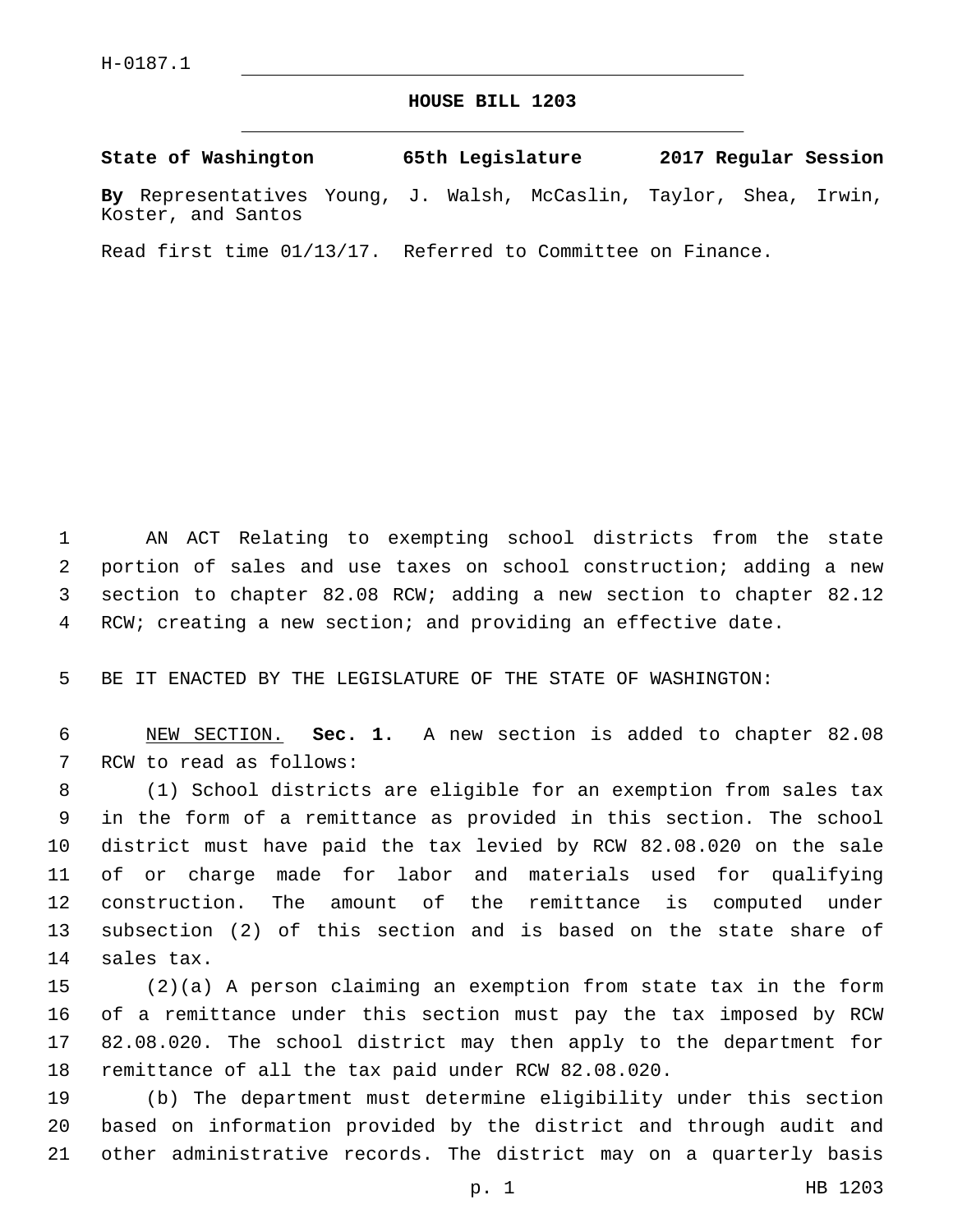## **HOUSE BILL 1203**

**State of Washington 65th Legislature 2017 Regular Session By** Representatives Young, J. Walsh, McCaslin, Taylor, Shea, Irwin, Koster, and Santos

Read first time 01/13/17. Referred to Committee on Finance.

 AN ACT Relating to exempting school districts from the state portion of sales and use taxes on school construction; adding a new section to chapter 82.08 RCW; adding a new section to chapter 82.12 RCW; creating a new section; and providing an effective date.

BE IT ENACTED BY THE LEGISLATURE OF THE STATE OF WASHINGTON:

 NEW SECTION. **Sec. 1.** A new section is added to chapter 82.08 7 RCW to read as follows:

 (1) School districts are eligible for an exemption from sales tax in the form of a remittance as provided in this section. The school district must have paid the tax levied by RCW 82.08.020 on the sale of or charge made for labor and materials used for qualifying construction. The amount of the remittance is computed under subsection (2) of this section and is based on the state share of 14 sales tax.

 (2)(a) A person claiming an exemption from state tax in the form of a remittance under this section must pay the tax imposed by RCW 82.08.020. The school district may then apply to the department for remittance of all the tax paid under RCW 82.08.020.

 (b) The department must determine eligibility under this section based on information provided by the district and through audit and other administrative records. The district may on a quarterly basis